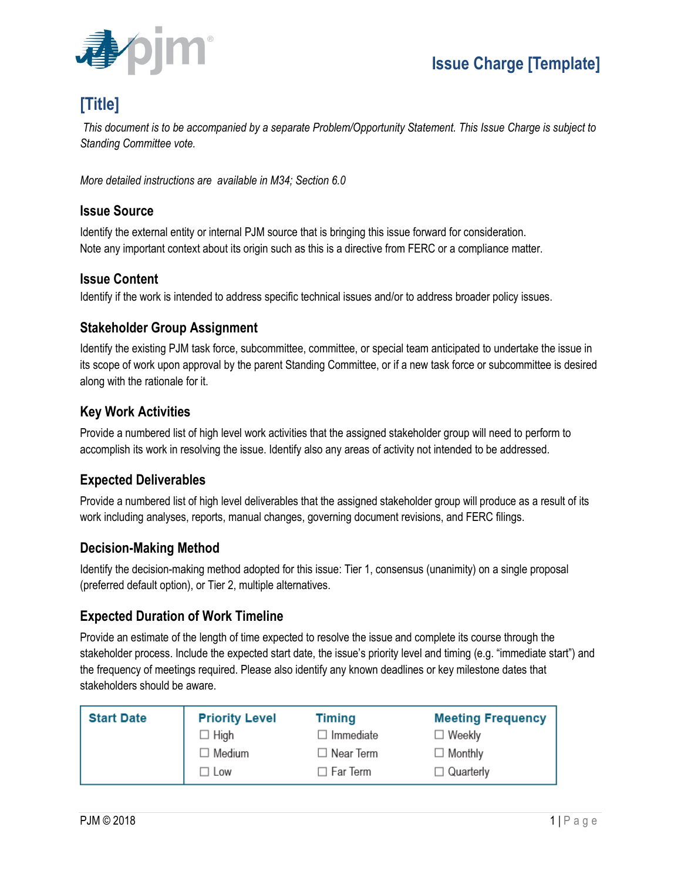

# **[Title]**

*This document is to be accompanied by a separate Problem/Opportunity Statement. This Issue Charge is subject to Standing Committee vote.*

*More detailed instructions are available in M34; Section 6.0*

#### **Issue Source**

Identify the external entity or internal PJM source that is bringing this issue forward for consideration. Note any important context about its origin such as this is a directive from FERC or a compliance matter.

#### **Issue Content**

Identify if the work is intended to address specific technical issues and/or to address broader policy issues.

#### **Stakeholder Group Assignment**

Identify the existing PJM task force, subcommittee, committee, or special team anticipated to undertake the issue in its scope of work upon approval by the parent Standing Committee, or if a new task force or subcommittee is desired along with the rationale for it.

## **Key Work Activities**

Provide a numbered list of high level work activities that the assigned stakeholder group will need to perform to accomplish its work in resolving the issue. Identify also any areas of activity not intended to be addressed.

# **Expected Deliverables**

Provide a numbered list of high level deliverables that the assigned stakeholder group will produce as a result of its work including analyses, reports, manual changes, governing document revisions, and FERC filings.

### **Decision-Making Method**

Identify the decision-making method adopted for this issue: Tier 1, consensus (unanimity) on a single proposal (preferred default option), or Tier 2, multiple alternatives.

### **Expected Duration of Work Timeline**

Provide an estimate of the length of time expected to resolve the issue and complete its course through the stakeholder process. Include the expected start date, the issue's priority level and timing (e.g. "immediate start") and the frequency of meetings required. Please also identify any known deadlines or key milestone dates that stakeholders should be aware.

| <b>Start Date</b> | <b>Priority Level</b> | <b>Timing</b>    | <b>Meeting Frequency</b> |
|-------------------|-----------------------|------------------|--------------------------|
|                   | $\Box$ High           | ∃ Immediate      | $\Box$ Weekly            |
|                   | $\Box$ Medium         | $\Box$ Near Term | $\Box$ Monthly           |
|                   | $\Box$ Low            | ∃ Far Term       | $\Box$ Quarterly         |